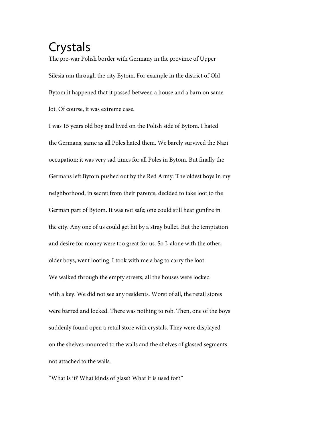## Crystals

The pre-war Polish border with Germany in the province of Upper Silesia ran through the city Bytom. For example in the district of Old Bytom it happened that it passed between a house and a barn on same lot. Of course, it was extreme case.

I was 15 years old boy and lived on the Polish side of Bytom. I hated the Germans, same as all Poles hated them. We barely survived the Nazi occupation; it was very sad times for all Poles in Bytom. But finally the Germans left Bytom pushed out by the Red Army. The oldest boys in my neighborhood, in secret from their parents, decided to take loot to the German part of Bytom. It was not safe; one could still hear gunfire in the city. Any one of us could get hit by a stray bullet. But the temptation and desire for money were too great for us. So I, alone with the other, older boys, went looting. I took with me a bag to carry the loot. We walked through the empty streets; all the houses were locked with a key. We did not see any residents. Worst of all, the retail stores were barred and locked. There was nothing to rob. Then, one of the boys suddenly found open a retail store with crystals. They were displayed on the shelves mounted to the walls and the shelves of glassed segments not attached to the walls.

''What is it? What kinds of glass? What it is used for?''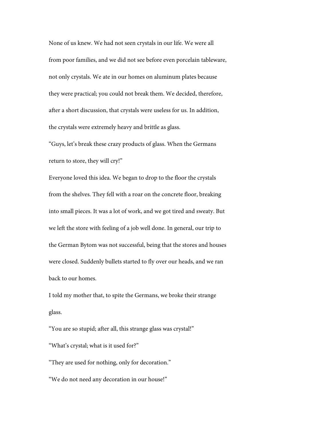None of us knew. We had not seen crystals in our life. We were all from poor families, and we did not see before even porcelain tableware, not only crystals. We ate in our homes on aluminum plates because they were practical; you could not break them. We decided, therefore, after a short discussion, that crystals were useless for us. In addition, the crystals were extremely heavy and brittle as glass.

''Guys, let's break these crazy products of glass. When the Germans return to store, they will cry!''

Everyone loved this idea. We began to drop to the floor the crystals from the shelves. They fell with a roar on the concrete floor, breaking into small pieces. It was a lot of work, and we got tired and sweaty. But we left the store with feeling of a job well done. In general, our trip to the German Bytom was not successful, being that the stores and houses were closed. Suddenly bullets started to fly over our heads, and we ran back to our homes.

I told my mother that, to spite the Germans, we broke their strange glass.

''You are so stupid; after all, this strange glass was crystal!''

''What's crystal; what is it used for?''

''They are used for nothing, only for decoration.''

''We do not need any decoration in our house!''